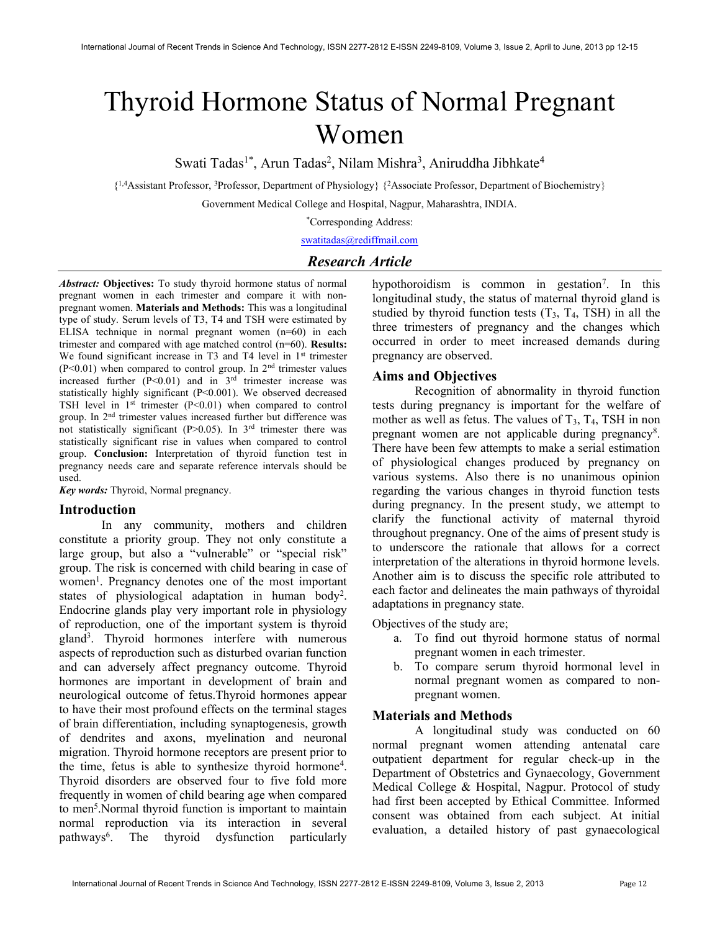# Thyroid Hormone Status of Normal Pregnant Women

Swati Tadas<sup>1\*</sup>, Arun Tadas<sup>2</sup>, Nilam Mishra<sup>3</sup>, Aniruddha Jibhkate<sup>4</sup>

{ 1,4Assistant Professor, <sup>3</sup>Professor, Department of Physiology} {<sup>2</sup>Associate Professor, Department of Biochemistry}

Government Medical College and Hospital, Nagpur, Maharashtra, INDIA.

\*Corresponding Address:

swatitadas@rediffmail.com

# Research Article

Abstract: Objectives: To study thyroid hormone status of normal pregnant women in each trimester and compare it with nonpregnant women. Materials and Methods: This was a longitudinal type of study. Serum levels of T3, T4 and TSH were estimated by ELISA technique in normal pregnant women (n=60) in each trimester and compared with age matched control (n=60). Results: We found significant increase in T3 and T4 level in 1<sup>st</sup> trimester  $(P<0.01)$  when compared to control group. In  $2<sup>nd</sup>$  trimester values increased further  $(P<0.01)$  and in  $3<sup>rd</sup>$  trimester increase was statistically highly significant (P<0.001). We observed decreased TSH level in  $1<sup>st</sup>$  trimester (P<0.01) when compared to control group. In 2nd trimester values increased further but difference was not statistically significant (P>0.05). In 3rd trimester there was statistically significant rise in values when compared to control group. Conclusion: Interpretation of thyroid function test in pregnancy needs care and separate reference intervals should be used.

Key words: Thyroid, Normal pregnancy.

## Introduction

 In any community, mothers and children constitute a priority group. They not only constitute a large group, but also a "vulnerable" or "special risk" group. The risk is concerned with child bearing in case of women<sup>1</sup>. Pregnancy denotes one of the most important states of physiological adaptation in human body<sup>2</sup>. Endocrine glands play very important role in physiology of reproduction, one of the important system is thyroid gland<sup>3</sup> . Thyroid hormones interfere with numerous aspects of reproduction such as disturbed ovarian function and can adversely affect pregnancy outcome. Thyroid hormones are important in development of brain and neurological outcome of fetus.Thyroid hormones appear to have their most profound effects on the terminal stages of brain differentiation, including synaptogenesis, growth of dendrites and axons, myelination and neuronal migration. Thyroid hormone receptors are present prior to the time, fetus is able to synthesize thyroid hormone<sup>4</sup>. Thyroid disorders are observed four to five fold more frequently in women of child bearing age when compared to men<sup>5</sup>. Normal thyroid function is important to maintain normal reproduction via its interaction in several pathways<sup>6</sup> . The thyroid dysfunction particularly

hypothoroidism is common in gestation<sup>7</sup>. In this longitudinal study, the status of maternal thyroid gland is studied by thyroid function tests  $(T_3, T_4, TSH)$  in all the three trimesters of pregnancy and the changes which occurred in order to meet increased demands during pregnancy are observed.

#### Aims and Objectives

 Recognition of abnormality in thyroid function tests during pregnancy is important for the welfare of mother as well as fetus. The values of  $T_3$ ,  $T_4$ , TSH in non pregnant women are not applicable during pregnancy<sup>8</sup>. There have been few attempts to make a serial estimation of physiological changes produced by pregnancy on various systems. Also there is no unanimous opinion regarding the various changes in thyroid function tests during pregnancy. In the present study, we attempt to clarify the functional activity of maternal thyroid throughout pregnancy. One of the aims of present study is to underscore the rationale that allows for a correct interpretation of the alterations in thyroid hormone levels. Another aim is to discuss the specific role attributed to each factor and delineates the main pathways of thyroidal adaptations in pregnancy state.

Objectives of the study are;

- a. To find out thyroid hormone status of normal pregnant women in each trimester.
- b. To compare serum thyroid hormonal level in normal pregnant women as compared to nonpregnant women.

#### Materials and Methods

 A longitudinal study was conducted on 60 normal pregnant women attending antenatal care outpatient department for regular check-up in the Department of Obstetrics and Gynaecology, Government Medical College & Hospital, Nagpur. Protocol of study had first been accepted by Ethical Committee. Informed consent was obtained from each subject. At initial evaluation, a detailed history of past gynaecological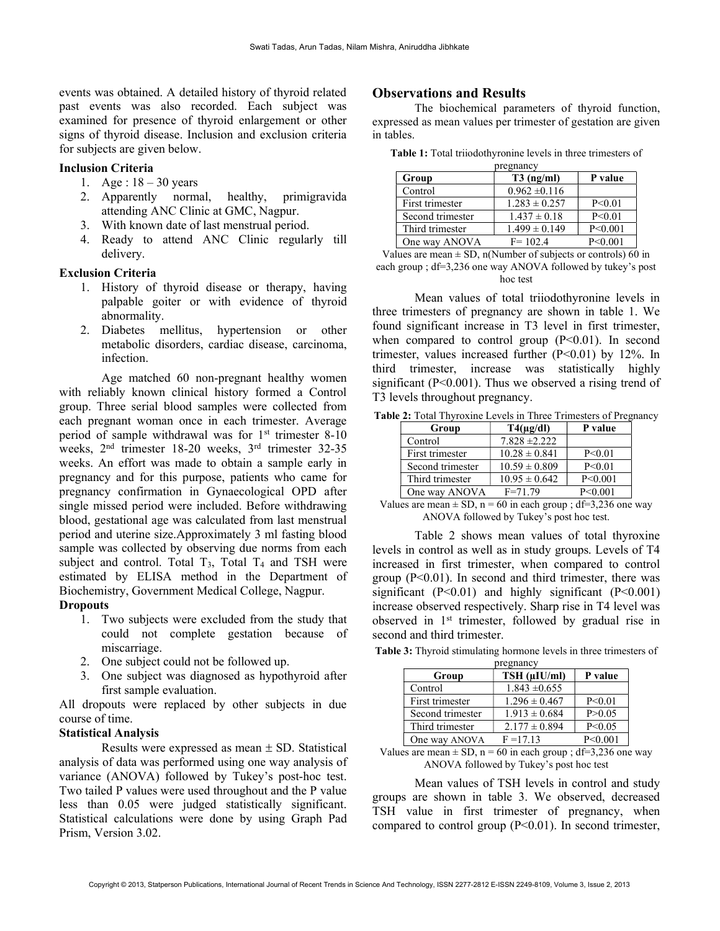events was obtained. A detailed history of thyroid related past events was also recorded. Each subject was examined for presence of thyroid enlargement or other signs of thyroid disease. Inclusion and exclusion criteria for subjects are given below.

#### Inclusion Criteria

- 1. Age : 18 30 years
- 2. Apparently normal, healthy, primigravida attending ANC Clinic at GMC, Nagpur.
- 3. With known date of last menstrual period.
- 4. Ready to attend ANC Clinic regularly till delivery.

#### Exclusion Criteria

- 1. History of thyroid disease or therapy, having palpable goiter or with evidence of thyroid abnormality.
- 2. Diabetes mellitus, hypertension or other metabolic disorders, cardiac disease, carcinoma, infection.

Age matched 60 non-pregnant healthy women with reliably known clinical history formed a Control group. Three serial blood samples were collected from each pregnant woman once in each trimester. Average period of sample withdrawal was for  $1<sup>st</sup>$  trimester 8-10 weeks, 2nd trimester 18-20 weeks, 3rd trimester 32-35 weeks. An effort was made to obtain a sample early in pregnancy and for this purpose, patients who came for pregnancy confirmation in Gynaecological OPD after single missed period were included. Before withdrawing blood, gestational age was calculated from last menstrual period and uterine size.Approximately 3 ml fasting blood sample was collected by observing due norms from each subject and control. Total  $T_3$ , Total  $T_4$  and TSH were estimated by ELISA method in the Department of Biochemistry, Government Medical College, Nagpur. **Dropouts** 

- 1. Two subjects were excluded from the study that could not complete gestation because of miscarriage.
- 2. One subject could not be followed up.
- 3. One subject was diagnosed as hypothyroid after first sample evaluation.

All dropouts were replaced by other subjects in due course of time.

## Statistical Analysis

Results were expressed as mean  $\pm$  SD. Statistical analysis of data was performed using one way analysis of variance (ANOVA) followed by Tukey's post-hoc test. Two tailed P values were used throughout and the P value less than 0.05 were judged statistically significant. Statistical calculations were done by using Graph Pad Prism, Version 3.02.

# Observations and Results

The biochemical parameters of thyroid function, expressed as mean values per trimester of gestation are given in tables.

Table 1: Total triiodothyronine levels in three trimesters of

| pregnancy        |                   |           |  |
|------------------|-------------------|-----------|--|
| Group            | $T3$ (ng/ml)      | P value   |  |
| Control          | $0.962 \pm 0.116$ |           |  |
| First trimester  | $1.283 \pm 0.257$ | P < 0.01  |  |
| Second trimester | $1.437 \pm 0.18$  | P < 0.01  |  |
| Third trimester  | $1.499 \pm 0.149$ | P < 0.001 |  |
| One way ANOVA    | $F = 102.4$       | P < 0.001 |  |

Values are mean  $\pm$  SD, n(Number of subjects or controls) 60 in each group ; df=3,236 one way ANOVA followed by tukey's post hoc test

Mean values of total triiodothyronine levels in three trimesters of pregnancy are shown in table 1. We found significant increase in T3 level in first trimester, when compared to control group  $(P<0.01)$ . In second trimester, values increased further  $(P<0.01)$  by 12%. In third trimester, increase was statistically highly significant (P<0.001). Thus we observed a rising trend of T3 levels throughout pregnancy.

Table 2: Total Thyroxine Levels in Three Trimesters of Pregnancy

| Group            | $T4(\mu g/dl)$    | P value   |
|------------------|-------------------|-----------|
| Control          | $7.828 \pm 2.222$ |           |
| First trimester  | $10.28 \pm 0.841$ | P < 0.01  |
| Second trimester | $10.59 \pm 0.809$ | P < 0.01  |
| Third trimester  | $10.95 \pm 0.642$ | P < 0.001 |
| One way ANOVA    | $F = 71.79$       | P < 0.001 |

Values are mean  $\pm$  SD, n = 60 in each group ; df=3,236 one way ANOVA followed by Tukey's post hoc test.

Table 2 shows mean values of total thyroxine levels in control as well as in study groups. Levels of T4 increased in first trimester, when compared to control group  $(P<0.01)$ . In second and third trimester, there was significant  $(P<0.01)$  and highly significant  $(P<0.001)$ increase observed respectively. Sharp rise in T4 level was observed in 1st trimester, followed by gradual rise in second and third trimester.

Table 3: Thyroid stimulating hormone levels in three trimesters of

| pregnancy        |                   |           |  |
|------------------|-------------------|-----------|--|
| Group            | TSH (µIU/ml)      | P value   |  |
| Control          | $1.843 \pm 0.655$ |           |  |
| First trimester  | $1.296 \pm 0.467$ | P < 0.01  |  |
| Second trimester | $1.913 \pm 0.684$ | P > 0.05  |  |
| Third trimester  | $2.177 \pm 0.894$ | P < 0.05  |  |
| One way ANOVA    | $F = 17.13$       | P < 0.001 |  |

Values are mean  $\pm$  SD, n = 60 in each group ; df=3,236 one way ANOVA followed by Tukey's post hoc test

Mean values of TSH levels in control and study groups are shown in table 3. We observed, decreased TSH value in first trimester of pregnancy, when compared to control group  $(P<0.01)$ . In second trimester,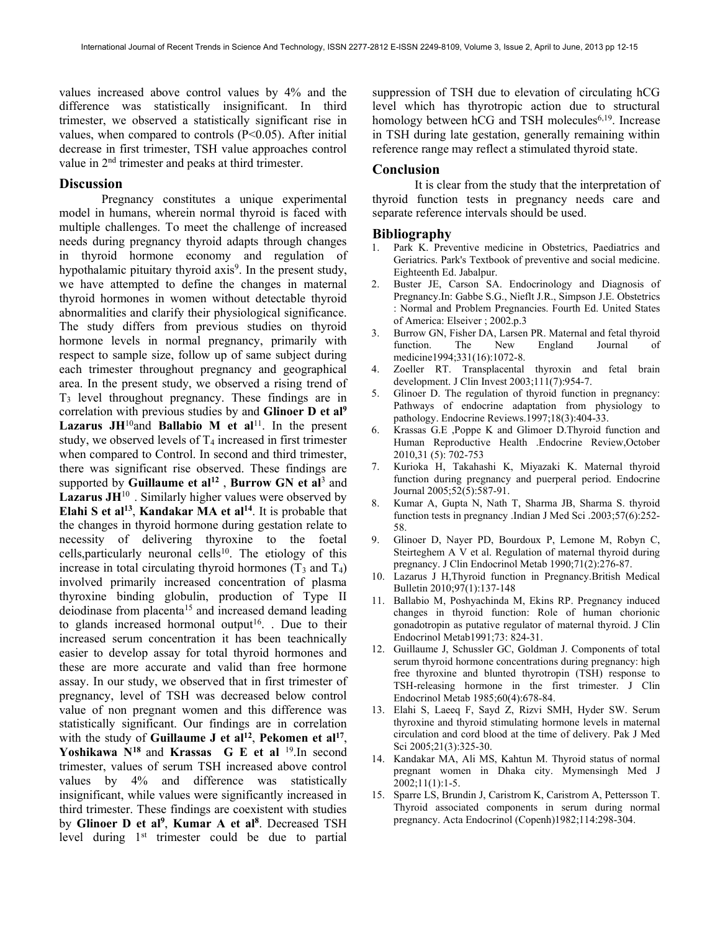values increased above control values by 4% and the difference was statistically insignificant. In third trimester, we observed a statistically significant rise in values, when compared to controls  $(P<0.05)$ . After initial decrease in first trimester, TSH value approaches control value in 2nd trimester and peaks at third trimester.

## **Discussion**

 Pregnancy constitutes a unique experimental model in humans, wherein normal thyroid is faced with multiple challenges. To meet the challenge of increased needs during pregnancy thyroid adapts through changes in thyroid hormone economy and regulation of hypothalamic pituitary thyroid axis<sup>9</sup>. In the present study, we have attempted to define the changes in maternal thyroid hormones in women without detectable thyroid abnormalities and clarify their physiological significance. The study differs from previous studies on thyroid hormone levels in normal pregnancy, primarily with respect to sample size, follow up of same subject during each trimester throughout pregnancy and geographical area. In the present study, we observed a rising trend of T3 level throughout pregnancy. These findings are in correlation with previous studies by and Glinoer D et al<sup>9</sup> Lazarus JH<sup>10</sup>and Ballabio M et al<sup>11</sup>. In the present study, we observed levels of  $T_4$  increased in first trimester when compared to Control. In second and third trimester, there was significant rise observed. These findings are supported by Guillaume et al<sup>12</sup>, Burrow GN et al<sup>3</sup> and **Lazarus JH**<sup>10</sup>. Similarly higher values were observed by Elahi S et al<sup>13</sup>, Kandakar MA et al<sup>14</sup>. It is probable that the changes in thyroid hormone during gestation relate to necessity of delivering thyroxine to the foetal cells, particularly neuronal cells<sup>10</sup>. The etiology of this increase in total circulating thyroid hormones  $(T_3 \text{ and } T_4)$ involved primarily increased concentration of plasma thyroxine binding globulin, production of Type II deiodinase from placenta<sup>15</sup> and increased demand leading to glands increased hormonal output<sup>16</sup>. . Due to their increased serum concentration it has been teachnically easier to develop assay for total thyroid hormones and these are more accurate and valid than free hormone assay. In our study, we observed that in first trimester of pregnancy, level of TSH was decreased below control value of non pregnant women and this difference was statistically significant. Our findings are in correlation with the study of Guillaume J et al<sup>12</sup>, Pekomen et al<sup>17</sup>, Yoshikawa  $N^{18}$  and Krassas G E et al  $^{19}$ . In second trimester, values of serum TSH increased above control values by 4% and difference was statistically insignificant, while values were significantly increased in third trimester. These findings are coexistent with studies by Glinoer D et al<sup>9</sup>, Kumar A et al<sup>8</sup>. Decreased TSH level during 1st trimester could be due to partial

suppression of TSH due to elevation of circulating hCG level which has thyrotropic action due to structural homology between  $hCG$  and TSH molecules<sup>6,19</sup>. Increase in TSH during late gestation, generally remaining within reference range may reflect a stimulated thyroid state.

#### Conclusion

It is clear from the study that the interpretation of thyroid function tests in pregnancy needs care and separate reference intervals should be used.

#### Bibliography

- 1. Park K. Preventive medicine in Obstetrics, Paediatrics and Geriatrics. Park's Textbook of preventive and social medicine. Eighteenth Ed. Jabalpur.
- 2. Buster JE, Carson SA. Endocrinology and Diagnosis of Pregnancy.In: Gabbe S.G., Nieflt J.R., Simpson J.E. Obstetrics : Normal and Problem Pregnancies. Fourth Ed. United States of America: Elseiver ; 2002.p.3
- 3. Burrow GN, Fisher DA, Larsen PR. Maternal and fetal thyroid function. The New England Journal of medicine1994;331(16):1072-8.
- 4. Zoeller RT. Transplacental thyroxin and fetal brain development. J Clin Invest 2003;111(7):954-7.
- 5. Glinoer D. The regulation of thyroid function in pregnancy: Pathways of endocrine adaptation from physiology to pathology. Endocrine Reviews.1997;18(3):404-33.
- 6. Krassas G.E ,Poppe K and Glimoer D.Thyroid function and Human Reproductive Health .Endocrine Review,October 2010,31 (5): 702-753
- 7. Kurioka H, Takahashi K, Miyazaki K. Maternal thyroid function during pregnancy and puerperal period. Endocrine Journal 2005;52(5):587-91.
- 8. Kumar A, Gupta N, Nath T, Sharma JB, Sharma S. thyroid function tests in pregnancy .Indian J Med Sci .2003;57(6):252- 58.
- 9. Glinoer D, Nayer PD, Bourdoux P, Lemone M, Robyn C, Steirteghem A V et al. Regulation of maternal thyroid during pregnancy. J Clin Endocrinol Metab 1990;71(2):276-87.
- 10. Lazarus J H,Thyroid function in Pregnancy.British Medical Bulletin 2010;97(1):137-148
- 11. Ballabio M, Poshyachinda M, Ekins RP. Pregnancy induced changes in thyroid function: Role of human chorionic gonadotropin as putative regulator of maternal thyroid. J Clin Endocrinol Metab1991;73: 824-31.
- 12. Guillaume J, Schussler GC, Goldman J. Components of total serum thyroid hormone concentrations during pregnancy: high free thyroxine and blunted thyrotropin (TSH) response to TSH-releasing hormone in the first trimester. J Clin Endocrinol Metab 1985;60(4):678-84.
- 13. Elahi S, Laeeq F, Sayd Z, Rizvi SMH, Hyder SW. Serum thyroxine and thyroid stimulating hormone levels in maternal circulation and cord blood at the time of delivery. Pak J Med Sci 2005;21(3):325-30.
- 14. Kandakar MA, Ali MS, Kahtun M. Thyroid status of normal pregnant women in Dhaka city. Mymensingh Med J 2002;11(1):1-5.
- 15. Sparre LS, Brundin J, Caristrom K, Caristrom A, Pettersson T. Thyroid associated components in serum during normal pregnancy. Acta Endocrinol (Copenh)1982;114:298-304.